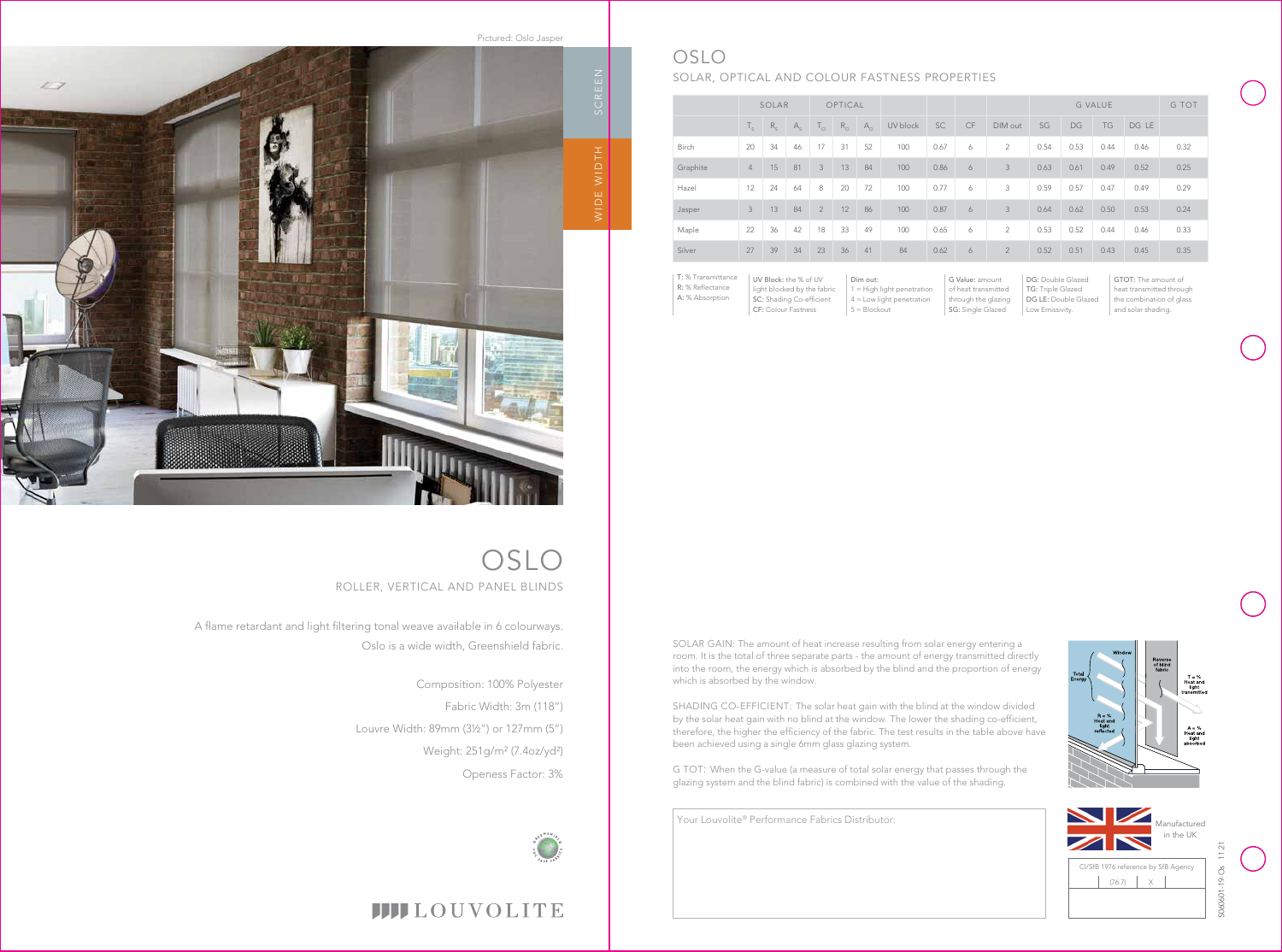Your Louvolite® Performance Fabrics Distributor:

DG: Double Glazed

|              | SOLAR          |         | OPTICAL     |                |             |            |          |           | <b>G VALUE</b> |                |      | G TOT |           |       |      |
|--------------|----------------|---------|-------------|----------------|-------------|------------|----------|-----------|----------------|----------------|------|-------|-----------|-------|------|
|              | $T_{\rm c}$    | $R_{c}$ | $A_{\rm c}$ | $T_{\odot}$    | $R_{\odot}$ | $A_{\cap}$ | UV block | <b>SC</b> | CF             | DIM out        | SG   | DG    | <b>TG</b> | DG LE |      |
| <b>Birch</b> | 20             | 34      | 46          | 17             | 31          | 52         | 100      | 0.67      | 6              | $\overline{2}$ | 0.54 | 0.53  | 0.44      | 0.46  | 0.32 |
| Graphite     | $\overline{4}$ | 15      | 81          | 3              | 13          | 84         | 100      | 0.86      | 6              | 3              | 0.63 | 0.61  | 0.49      | 0.52  | 0.25 |
| Hazel        | 12             | 24      | 64          | 8              | 20          | 72         | 100      | 0.77      | 6              | 3              | 0.59 | 0.57  | 0.47      | 0.49  | 0.29 |
| Jasper       | 3              | 13      | 84          | $\overline{2}$ | 12          | 86         | 100      | 0.87      | 6              | 3              | 0.64 | 0.62  | 0.50      | 0.53  | 0.24 |
| Maple        | 22             | 36      | 42          | 18             | 33          | 49         | 100      | 0.65      | 6              | $\overline{2}$ | 0.53 | 0.52  | 0.44      | 0.46  | 0.33 |
| Silver       | 27             | 39      | 34          | 23             | 36          | 41         | 84       | 0.62      | 6              | $\overline{2}$ | 0.52 | 0.51  | 0.43      | 0.45  | 0.35 |

| T: % Transmittance | UV Block: the % of UV       | Dim out:                     | G Value: amount     |
|--------------------|-----------------------------|------------------------------|---------------------|
| R: % Reflectance   | light blocked by the fabric | $1 =$ High light penetration | of heat transmitted |
| A: % Absorption    | SC: Shading Co-efficient    | $4 =$ Low light penetration  | through the glazing |
|                    | <b>CF: Colour Fastness</b>  | $5 = Blockout$               | SG: Single Glazed   |



TG: Triple Glazed

DG LE: Double Glazed

Low Emissivity.

GTOT: The amount of heat transmitted through the combination of glass and solar shading.



## OSLO

### SOLAR, OPTICAL AND COLOUR FASTNESS PROPERTIES

A flame retardant and light filtering tonal weave available in 6 colourways. Oslo is a wide width, Greenshield fabric.

OSLO ROLLER, VERTICAL AND PANEL BLINDS



Composition: 100% Polyester Fabric Width: 3m (118") Louvre Width: 89mm (3½") or 127mm (5") Weight: 251g/m² (7.4oz/yd²) Openess Factor: 3%





## **IIII**LOUVOLITE

SOLAR GAIN: The amount of heat increase resulting from solar energy entering a room. It is the total of three separate parts - the amount of energy transmitted directly into the room, the energy which is absorbed by the blind and the proportion of energy which is absorbed by the window.

SHADING CO-EFFICIENT: The solar heat gain with the blind at the window divided by the solar heat gain with no blind at the window. The lower the shading co-efficient, therefore, the higher the efficiency of the fabric. The test results in the table above have been achieved using a single 6mm glass glazing system.

G TOT: When the G-value (a measure of total solar energy that passes through the glazing system and the blind fabric) is combined with the value of the shading.

Pictured: Oslo Jasper